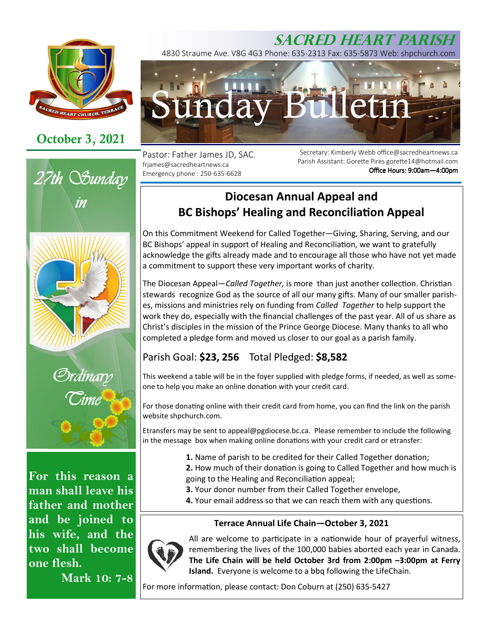

# **October 3, 2021**



**For this reason a man shall leave his father and mother and be joined to his wife, and the two shall become one flesh.** 

**Mark 10: 7-8**

## **SACRED HEART PARISH** 4830 Straume Ave. V8G 4G3 Phone: 635-2313 Fax: 635-5873 Web: shpchurch.com



Pastor: Father James JD, SAC. frjames@sacredheartnews.ca Emergency phone : 250-635-6628

Secretary: Kimberly Webb office@sacredheartnews.ca Parish Assistant: Gorette Pires gorette14@hotmail.com Office Hours: 9:00am-4:00pm

# **Diocesan Annual Appeal and BC Bishops' Healing and Reconciliation Appeal**

On this Commitment Weekend for Called Together—Giving, Sharing, Serving, and our BC Bishops' appeal in support of Healing and Reconciliation, we want to gratefully acknowledge the gifts already made and to encourage all those who have not yet made a commitment to support these very important works of charity.

The Diocesan Appeal—*Called Together*, is more than just another collection. Christian stewards recognize God as the source of all our many gifts. Many of our smaller parishes, missions and ministries rely on funding from *Called Together* to help support the work they do, especially with the financial challenges of the past year. All of us share as Christ's disciples in the mission of the Prince George Diocese. Many thanks to all who completed a pledge form and moved us closer to our goal as a parish family.

## Parish Goal: **\$23, 256** Total Pledged: **\$8,582**

This weekend a table will be in the foyer supplied with pledge forms, if needed, as well as someone to help you make an online donation with your credit card.

For those donating online with their credit card from home, you can find the link on the parish website shpchurch.com.

Etransfers may be sent to appeal@pgdiocese.bc.ca. Please remember to include the following in the message box when making online donations with your credit card or etransfer:

- **1.** Name of parish to be credited for their Called Together donation;
- **2.** How much of their donation is going to Called Together and how much is going to the Healing and Reconciliation appeal;
- **3.** Your donor number from their Called Together envelope,
- 4. Your email address so that we can reach them with any questions.

### **Terrace Annual Life Chain—October 3, 2021**



All are welcome to participate in a nationwide hour of prayerful witness, remembering the lives of the 100,000 babies aborted each year in Canada. **The Life Chain will be held October 3rd from 2:00pm –3:00pm at Ferry Island.** Everyone is welcome to a bbq following the LifeChain.

For more information, please contact: Don Coburn at (250) 635-5427